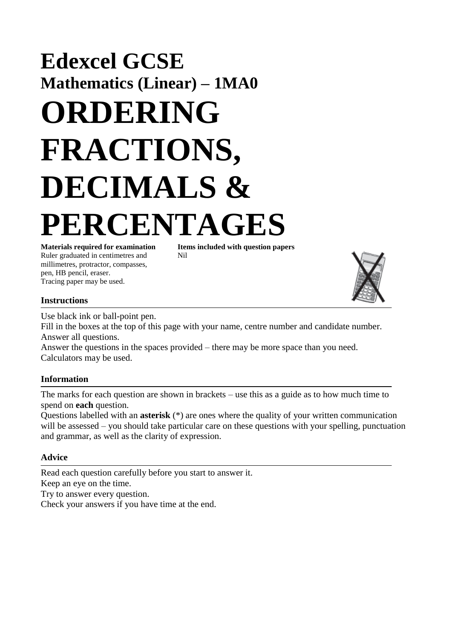## **Edexcel GCSE Mathematics (Linear) – 1MA0 ORDERING FRACTIONS, DECIMALS & PERCENTAGES**

Ruler graduated in centimetres and Nil millimetres, protractor, compasses, pen, HB pencil, eraser. Tracing paper may be used.

**Materials required for examination Items included with question papers**



## **Instructions**

Use black ink or ball-point pen.

Fill in the boxes at the top of this page with your name, centre number and candidate number. Answer all questions.

Answer the questions in the spaces provided – there may be more space than you need. Calculators may be used.

## **Information**

The marks for each question are shown in brackets – use this as a guide as to how much time to spend on **each** question.

Questions labelled with an **asterisk** (\*) are ones where the quality of your written communication will be assessed – you should take particular care on these questions with your spelling, punctuation and grammar, as well as the clarity of expression.

## **Advice**

Read each question carefully before you start to answer it. Keep an eye on the time. Try to answer every question. Check your answers if you have time at the end.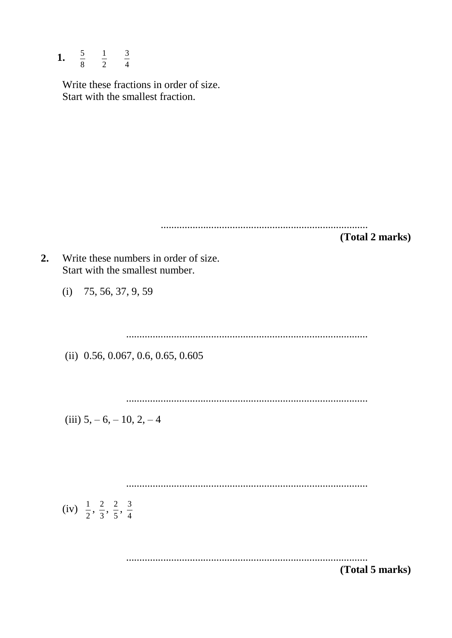1.  $\frac{5}{8}$   $\frac{1}{2}$   $\frac{3}{4}$ 

Write these fractions in order of size. Start with the smallest fraction.

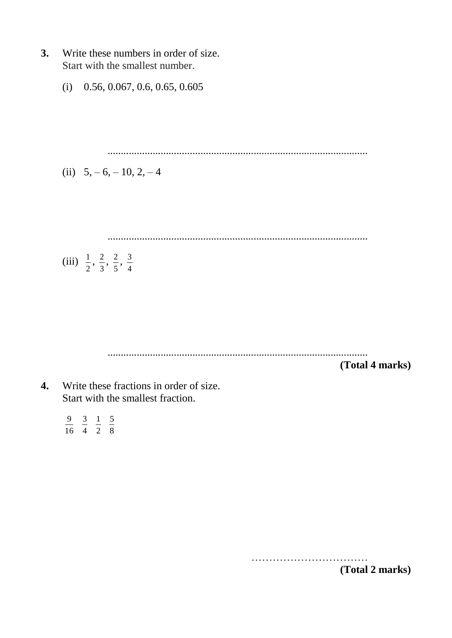- **3.** Write these numbers in order of size. Start with the smallest number.
	- (i) 0.56, 0.067, 0.6, 0.65, 0.605

..................................................................................................

(ii) 
$$
5, -6, -10, 2, -4
$$

..................................................................................................

(iii) 
$$
\frac{1}{2}
$$
,  $\frac{2}{3}$ ,  $\frac{2}{5}$ ,  $\frac{3}{4}$ 

..................................................................................................

**(Total 4 marks)**

**4.** Write these fractions in order of size. Start with the smallest fraction.

> 8 5 2 1 4 3 16 9

> > …………………………… **(Total 2 marks)**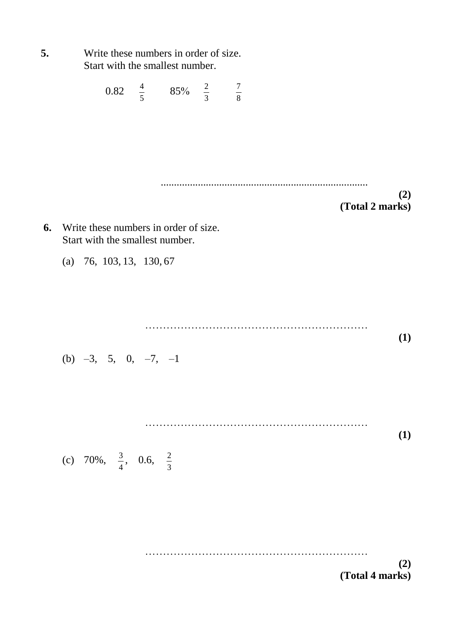| 5. | Write these numbers in order of size.<br>Start with the smallest number. |  |                                                    |  |  |  |                 |     |
|----|--------------------------------------------------------------------------|--|----------------------------------------------------|--|--|--|-----------------|-----|
|    |                                                                          |  | 0.82 $\frac{4}{5}$ 85% $\frac{2}{3}$ $\frac{7}{8}$ |  |  |  |                 |     |
|    |                                                                          |  |                                                    |  |  |  |                 |     |
| 6. | Write these numbers in order of size.                                    |  |                                                    |  |  |  | (Total 2 marks) | (2) |
|    | Start with the smallest number.                                          |  |                                                    |  |  |  |                 |     |
|    | (a) $76, 103, 13, 130, 67$                                               |  |                                                    |  |  |  |                 |     |
|    |                                                                          |  |                                                    |  |  |  |                 |     |
|    | (b) $-3$ , 5, 0, $-7$ , $-1$                                             |  |                                                    |  |  |  |                 | (1) |
|    |                                                                          |  |                                                    |  |  |  |                 |     |
|    |                                                                          |  |                                                    |  |  |  |                 | (1) |
|    | (c) 70%, $\frac{3}{4}$ , 0.6, $\frac{2}{3}$                              |  |                                                    |  |  |  |                 |     |
|    |                                                                          |  |                                                    |  |  |  |                 |     |
|    |                                                                          |  |                                                    |  |  |  | (Total 4 marks) | (2) |